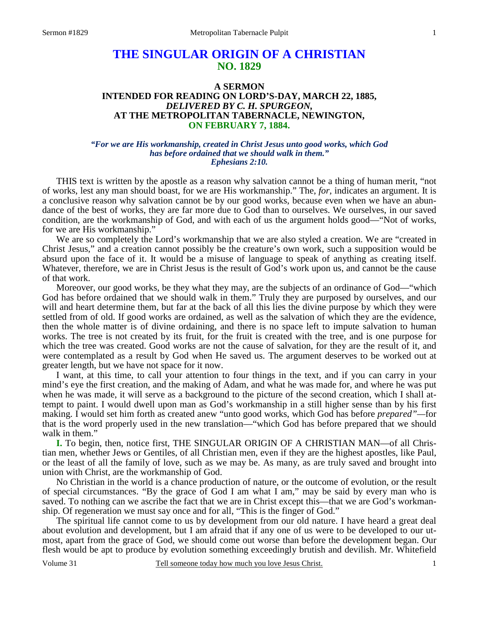# **THE SINGULAR ORIGIN OF A CHRISTIAN NO. 1829**

## **A SERMON INTENDED FOR READING ON LORD'S-DAY, MARCH 22, 1885,** *DELIVERED BY C. H. SPURGEON,*  **AT THE METROPOLITAN TABERNACLE, NEWINGTON, ON FEBRUARY 7, 1884.**

#### *"For we are His workmanship, created in Christ Jesus unto good works, which God has before ordained that we should walk in them." Ephesians 2:10.*

 THIS text is written by the apostle as a reason why salvation cannot be a thing of human merit, "not of works, lest any man should boast, for we are His workmanship." The, *for,* indicates an argument. It is a conclusive reason why salvation cannot be by our good works, because even when we have an abundance of the best of works, they are far more due to God than to ourselves. We ourselves, in our saved condition, are the workmanship of God, and with each of us the argument holds good—"Not of works, for we are His workmanship."

 We are so completely the Lord's workmanship that we are also styled a creation. We are "created in Christ Jesus," and a creation cannot possibly be the creature's own work, such a supposition would be absurd upon the face of it. It would be a misuse of language to speak of anything as creating itself. Whatever, therefore, we are in Christ Jesus is the result of God's work upon us, and cannot be the cause of that work.

 Moreover, our good works, be they what they may, are the subjects of an ordinance of God—"which God has before ordained that we should walk in them." Truly they are purposed by ourselves, and our will and heart determine them, but far at the back of all this lies the divine purpose by which they were settled from of old. If good works are ordained, as well as the salvation of which they are the evidence, then the whole matter is of divine ordaining, and there is no space left to impute salvation to human works. The tree is not created by its fruit, for the fruit is created with the tree, and is one purpose for which the tree was created. Good works are not the cause of salvation, for they are the result of it, and were contemplated as a result by God when He saved us. The argument deserves to be worked out at greater length, but we have not space for it now.

 I want, at this time, to call your attention to four things in the text, and if you can carry in your mind's eye the first creation, and the making of Adam, and what he was made for, and where he was put when he was made, it will serve as a background to the picture of the second creation, which I shall attempt to paint. I would dwell upon man as God's workmanship in a still higher sense than by his first making. I would set him forth as created anew "unto good works, which God has before *prepared"—*for that is the word properly used in the new translation—"which God has before prepared that we should walk in them."

**I.** To begin, then, notice first, THE SINGULAR ORIGIN OF A CHRISTIAN MAN—of all Christian men, whether Jews or Gentiles, of all Christian men, even if they are the highest apostles, like Paul, or the least of all the family of love, such as we may be. As many, as are truly saved and brought into union with Christ, are the workmanship of God.

 No Christian in the world is a chance production of nature, or the outcome of evolution, or the result of special circumstances. "By the grace of God I am what I am," may be said by every man who is saved. To nothing can we ascribe the fact that we are in Christ except this—that we are God's workmanship. Of regeneration we must say once and for all, "This is the finger of God."

 The spiritual life cannot come to us by development from our old nature. I have heard a great deal about evolution and development, but I am afraid that if any one of us were to be developed to our utmost, apart from the grace of God, we should come out worse than before the development began. Our flesh would be apt to produce by evolution something exceedingly brutish and devilish. Mr. Whitefield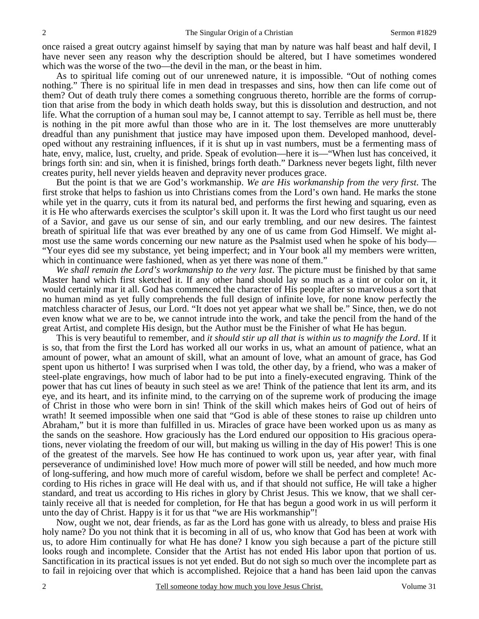once raised a great outcry against himself by saying that man by nature was half beast and half devil, I have never seen any reason why the description should be altered, but I have sometimes wondered which was the worse of the two—the devil in the man, or the beast in him.

 As to spiritual life coming out of our unrenewed nature, it is impossible. "Out of nothing comes nothing." There is no spiritual life in men dead in trespasses and sins, how then can life come out of them? Out of death truly there comes a something congruous thereto, horrible are the forms of corruption that arise from the body in which death holds sway, but this is dissolution and destruction, and not life. What the corruption of a human soul may be, I cannot attempt to say. Terrible as hell must be, there is nothing in the pit more awful than those who are in it. The lost themselves are more unutterably dreadful than any punishment that justice may have imposed upon them. Developed manhood, developed without any restraining influences, if it is shut up in vast numbers, must be a fermenting mass of hate, envy, malice, lust, cruelty, and pride. Speak of evolution—here it is—"When lust has conceived, it brings forth sin: and sin, when it is finished, brings forth death." Darkness never begets light, filth never creates purity, hell never yields heaven and depravity never produces grace.

 But the point is that we are God's workmanship. *We are His workmanship from the very first*. The first stroke that helps to fashion us into Christians comes from the Lord's own hand. He marks the stone while yet in the quarry, cuts it from its natural bed, and performs the first hewing and squaring, even as it is He who afterwards exercises the sculptor's skill upon it. It was the Lord who first taught us our need of a Savior, and gave us our sense of sin, and our early trembling, and our new desires. The faintest breath of spiritual life that was ever breathed by any one of us came from God Himself. We might almost use the same words concerning our new nature as the Psalmist used when he spoke of his body— "Your eyes did see my substance, yet being imperfect; and in Your book all my members were written, which in continuance were fashioned, when as yet there was none of them."

*We shall remain the Lord's workmanship to the very last*. The picture must be finished by that same Master hand which first sketched it. If any other hand should lay so much as a tint or color on it, it would certainly mar it all. God has commenced the character of His people after so marvelous a sort that no human mind as yet fully comprehends the full design of infinite love, for none know perfectly the matchless character of Jesus, our Lord. "It does not yet appear what we shall be." Since, then, we do not even know what we are to be, we cannot intrude into the work, and take the pencil from the hand of the great Artist, and complete His design, but the Author must be the Finisher of what He has begun.

 This is very beautiful to remember, and *it should stir up all that is within us to magnify the Lord*. If it is so, that from the first the Lord has worked all our works in us, what an amount of patience, what an amount of power, what an amount of skill, what an amount of love, what an amount of grace, has God spent upon us hitherto! I was surprised when I was told, the other day, by a friend, who was a maker of steel-plate engravings, how much of labor had to be put into a finely-executed engraving. Think of the power that has cut lines of beauty in such steel as we are! Think of the patience that lent its arm, and its eye, and its heart, and its infinite mind, to the carrying on of the supreme work of producing the image of Christ in those who were born in sin! Think of the skill which makes heirs of God out of heirs of wrath! It seemed impossible when one said that "God is able of these stones to raise up children unto Abraham," but it is more than fulfilled in us. Miracles of grace have been worked upon us as many as the sands on the seashore. How graciously has the Lord endured our opposition to His gracious operations, never violating the freedom of our will, but making us willing in the day of His power! This is one of the greatest of the marvels. See how He has continued to work upon us, year after year, with final perseverance of undiminished love! How much more of power will still be needed, and how much more of long-suffering, and how much more of careful wisdom, before we shall be perfect and complete! According to His riches in grace will He deal with us, and if that should not suffice, He will take a higher standard, and treat us according to His riches in glory by Christ Jesus. This we know, that we shall certainly receive all that is needed for completion, for He that has begun a good work in us will perform it unto the day of Christ. Happy is it for us that "we are His workmanship"!

 Now, ought we not, dear friends, as far as the Lord has gone with us already, to bless and praise His holy name? Do you not think that it is becoming in all of us, who know that God has been at work with us, to adore Him continually for what He has done? I know you sigh because a part of the picture still looks rough and incomplete. Consider that the Artist has not ended His labor upon that portion of us. Sanctification in its practical issues is not yet ended. But do not sigh so much over the incomplete part as to fail in rejoicing over that which is accomplished. Rejoice that a hand has been laid upon the canvas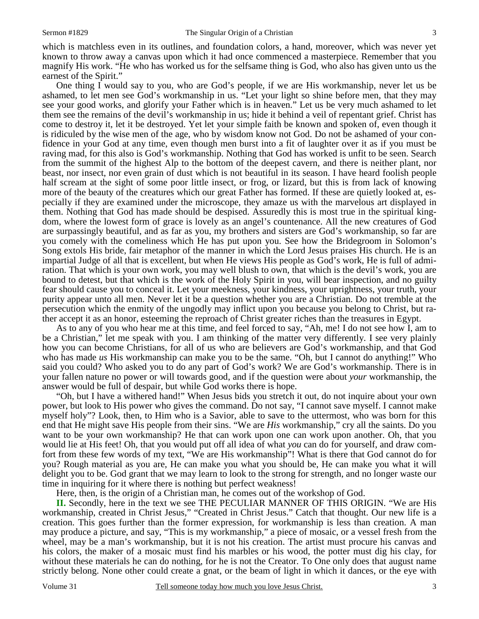which is matchless even in its outlines, and foundation colors, a hand, moreover, which was never yet known to throw away a canvas upon which it had once commenced a masterpiece. Remember that you magnify His work. "He who has worked us for the selfsame thing is God, who also has given unto us the earnest of the Spirit."

 One thing I would say to you, who are God's people, if we are His workmanship, never let us be ashamed, to let men see God's workmanship in us. "Let your light so shine before men, that they may see your good works, and glorify your Father which is in heaven." Let us be very much ashamed to let them see the remains of the devil's workmanship in us; hide it behind a veil of repentant grief. Christ has come to destroy it, let it be destroyed. Yet let your simple faith be known and spoken of, even though it is ridiculed by the wise men of the age, who by wisdom know not God. Do not be ashamed of your confidence in your God at any time, even though men burst into a fit of laughter over it as if you must be raving mad, for this also is God's workmanship. Nothing that God has worked is unfit to be seen. Search from the summit of the highest Alp to the bottom of the deepest cavern, and there is neither plant, nor beast, nor insect, nor even grain of dust which is not beautiful in its season. I have heard foolish people half scream at the sight of some poor little insect, or frog, or lizard, but this is from lack of knowing more of the beauty of the creatures which our great Father has formed. If these are quietly looked at, especially if they are examined under the microscope, they amaze us with the marvelous art displayed in them. Nothing that God has made should be despised. Assuredly this is most true in the spiritual kingdom, where the lowest form of grace is lovely as an angel's countenance. All the new creatures of God are surpassingly beautiful, and as far as you, my brothers and sisters are God's workmanship, so far are you comely with the comeliness which He has put upon you. See how the Bridegroom in Solomon's Song extols His bride, fair metaphor of the manner in which the Lord Jesus praises His church. He is an impartial Judge of all that is excellent, but when He views His people as God's work, He is full of admiration. That which is your own work, you may well blush to own, that which is the devil's work, you are bound to detest, but that which is the work of the Holy Spirit in you, will bear inspection, and no guilty fear should cause you to conceal it. Let your meekness, your kindness, your uprightness, your truth, your purity appear unto all men. Never let it be a question whether you are a Christian. Do not tremble at the persecution which the enmity of the ungodly may inflict upon you because you belong to Christ, but rather accept it as an honor, esteeming the reproach of Christ greater riches than the treasures in Egypt.

 As to any of you who hear me at this time, and feel forced to say, "Ah, me! I do not see how I, am to be a Christian," let me speak with you. I am thinking of the matter very differently. I see very plainly how you can become Christians, for all of us who are believers are God's workmanship, and that God who has made *us* His workmanship can make you to be the same. "Oh, but I cannot do anything!" Who said you could? Who asked you to do any part of God's work? We are God's workmanship. There is in your fallen nature no power or will towards good, and if the question were about *your* workmanship, the answer would be full of despair, but while God works there is hope.

 "Oh, but I have a withered hand!" When Jesus bids you stretch it out, do not inquire about your own power, but look to His power who gives the command. Do not say, "I cannot save myself. I cannot make myself holy"? Look, then, to Him who is a Savior, able to save to the uttermost, who was born for this end that He might save His people from their sins. "We are *His* workmanship," cry all the saints. Do you want to be your own workmanship? He that can work upon one can work upon another. Oh, that you would lie at His feet! Oh, that you would put off all idea of what *you* can do for yourself, and draw comfort from these few words of my text, "We are His workmanship"! What is there that God cannot do for you? Rough material as you are, He can make you what you should be, He can make you what it will delight you to be. God grant that we may learn to look to the strong for strength, and no longer waste our time in inquiring for it where there is nothing but perfect weakness!

Here, then, is the origin of a Christian man, he comes out of the workshop of God.

**II.** Secondly, here in the text we see THE PECULIAR MANNER OF THIS ORIGIN. "We are His workmanship, created in Christ Jesus," "Created in Christ Jesus." Catch that thought. Our new life is a creation. This goes further than the former expression, for workmanship is less than creation. A man may produce a picture, and say, "This is my workmanship," a piece of mosaic, or a vessel fresh from the wheel, may be a man's workmanship, but it is not his creation. The artist must procure his canvas and his colors, the maker of a mosaic must find his marbles or his wood, the potter must dig his clay, for without these materials he can do nothing, for he is not the Creator. To One only does that august name strictly belong. None other could create a gnat, or the beam of light in which it dances, or the eye with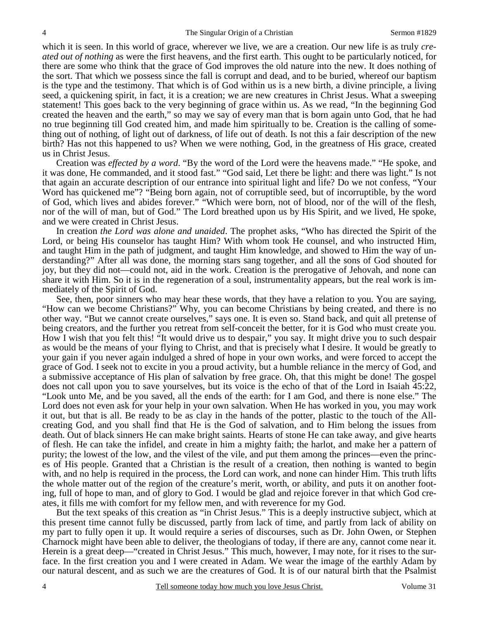which it is seen. In this world of grace, wherever we live, we are a creation. Our new life is as truly *created out of nothing* as were the first heavens, and the first earth. This ought to be particularly noticed, for there are some who think that the grace of God improves the old nature into the new. It does nothing of the sort. That which we possess since the fall is corrupt and dead, and to be buried, whereof our baptism is the type and the testimony. That which is of God within us is a new birth, a divine principle, a living seed, a quickening spirit, in fact, it is a creation; we are new creatures in Christ Jesus. What a sweeping statement! This goes back to the very beginning of grace within us. As we read, "In the beginning God created the heaven and the earth," so may we say of every man that is born again unto God, that he had no true beginning till God created him, and made him spiritually to be. Creation is the calling of something out of nothing, of light out of darkness, of life out of death. Is not this a fair description of the new birth? Has not this happened to us? When we were nothing, God, in the greatness of His grace, created us in Christ Jesus.

 Creation was *effected by a word*. "By the word of the Lord were the heavens made." "He spoke, and it was done, He commanded, and it stood fast." "God said, Let there be light: and there was light." Is not that again an accurate description of our entrance into spiritual light and life? Do we not confess, "Your Word has quickened me"? "Being born again, not of corruptible seed, but of incorruptible, by the word of God, which lives and abides forever." "Which were born, not of blood, nor of the will of the flesh, nor of the will of man, but of God." The Lord breathed upon us by His Spirit, and we lived, He spoke, and we were created in Christ Jesus.

 In creation *the Lord was alone and unaided*. The prophet asks, "Who has directed the Spirit of the Lord, or being His counselor has taught Him? With whom took He counsel, and who instructed Him, and taught Him in the path of judgment, and taught Him knowledge, and showed to Him the way of understanding?" After all was done, the morning stars sang together, and all the sons of God shouted for joy, but they did not—could not, aid in the work. Creation is the prerogative of Jehovah, and none can share it with Him. So it is in the regeneration of a soul, instrumentality appears, but the real work is immediately of the Spirit of God.

 See, then, poor sinners who may hear these words, that they have a relation to you. You are saying, "How can we become Christians?" Why, you can become Christians by being created, and there is no other way. "But we cannot create ourselves," says one. It is even so. Stand back, and quit all pretense of being creators, and the further you retreat from self-conceit the better, for it is God who must create you. How I wish that you felt this! "It would drive us to despair," you say. It might drive you to such despair as would be the means of your flying to Christ, and that is precisely what I desire. It would be greatly to your gain if you never again indulged a shred of hope in your own works, and were forced to accept the grace of God. I seek not to excite in you a proud activity, but a humble reliance in the mercy of God, and a submissive acceptance of His plan of salvation by free grace. Oh, that this might be done! The gospel does not call upon you to save yourselves, but its voice is the echo of that of the Lord in Isaiah 45:22, "Look unto Me, and be you saved, all the ends of the earth: for I am God, and there is none else." The Lord does not even ask for your help in your own salvation. When He has worked in you, you may work it out, but that is all. Be ready to be as clay in the hands of the potter, plastic to the touch of the Allcreating God, and you shall find that He is the God of salvation, and to Him belong the issues from death. Out of black sinners He can make bright saints. Hearts of stone He can take away, and give hearts of flesh. He can take the infidel, and create in him a mighty faith; the harlot, and make her a pattern of purity; the lowest of the low, and the vilest of the vile, and put them among the princes—even the princes of His people. Granted that a Christian is the result of a creation, then nothing is wanted to begin with, and no help is required in the process, the Lord can work, and none can hinder Him. This truth lifts the whole matter out of the region of the creature's merit, worth, or ability, and puts it on another footing, full of hope to man, and of glory to God. I would be glad and rejoice forever in that which God creates, it fills me with comfort for my fellow men, and with reverence for my God.

 But the text speaks of this creation as "in Christ Jesus." This is a deeply instructive subject, which at this present time cannot fully be discussed, partly from lack of time, and partly from lack of ability on my part to fully open it up. It would require a series of discourses, such as Dr. John Owen, or Stephen Charnock might have been able to deliver, the theologians of today, if there are any, cannot come near it. Herein is a great deep—"created in Christ Jesus." This much, however, I may note, for it rises to the surface. In the first creation you and I were created in Adam. We wear the image of the earthly Adam by our natural descent, and as such we are the creatures of God. It is of our natural birth that the Psalmist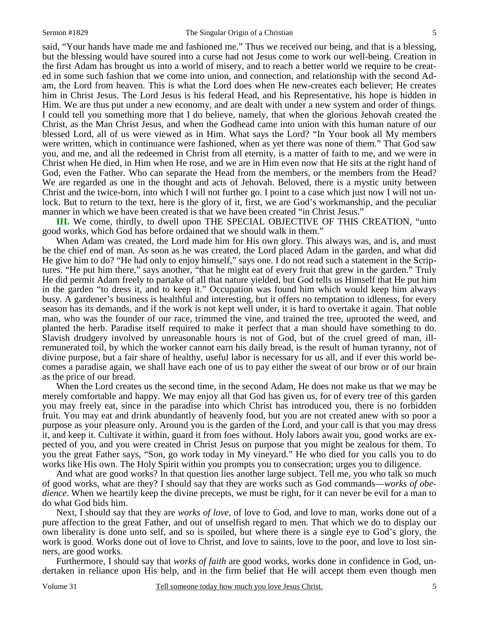said, "Your hands have made me and fashioned me." Thus we received our being, and that is a blessing, but the blessing would have soured into a curse had not Jesus come to work our well-being. Creation in the first Adam has brought us into a world of misery, and to reach a better world we require to be created in some such fashion that we come into union, and connection, and relationship with the second Adam, the Lord from heaven. This is what the Lord does when He new-creates each believer; He creates him in Christ Jesus. The Lord Jesus is his federal Head, and his Representative, his hope is hidden in Him. We are thus put under a new economy, and are dealt with under a new system and order of things. I could tell you something more that I do believe, namely, that when the glorious Jehovah created the Christ, as the Man Christ Jesus, and when the Godhead came into union with this human nature of our blessed Lord, all of us were viewed as in Him. What says the Lord? "In Your book all My members were written, which in continuance were fashioned, when as yet there was none of them." That God saw you, and me, and all the redeemed in Christ from all eternity, is a matter of faith to me, and we were in Christ when He died, in Him when He rose, and we are in Him even now that He sits at the right hand of God, even the Father. Who can separate the Head from the members, or the members from the Head? We are regarded as one in the thought and acts of Jehovah. Beloved, there is a mystic unity between Christ and the twice-born, into which I will not further go. I point to a case which just now I will not unlock. But to return to the text, here is the glory of it, first, we are God's workmanship, and the peculiar manner in which we have been created is that we have been created "in Christ Jesus."

**III.** We come, thirdly, to dwell upon THE SPECIAL OBJECTIVE OF THIS CREATION, "unto good works, which God has before ordained that we should walk in them."

 When Adam was created, the Lord made him for His own glory. This always was, and is, and must be the chief end of man. As soon as he was created, the Lord placed Adam in the garden, and what did He give him to do? "He had only to enjoy himself," says one. I do not read such a statement in the Scriptures. "He put him there," says another, "that he might eat of every fruit that grew in the garden." Truly He did permit Adam freely to partake of all that nature yielded, but God tells us Himself that He put him in the garden "to dress it, and to keep it." Occupation was found him which would keep him always busy. A gardener's business is healthful and interesting, but it offers no temptation to idleness, for every season has its demands, and if the work is not kept well under, it is hard to overtake it again. That noble man, who was the founder of our race, trimmed the vine, and trained the tree, uprooted the weed, and planted the herb. Paradise itself required to make it perfect that a man should have something to do. Slavish drudgery involved by unreasonable hours is not of God, but of the cruel greed of man, illremunerated toil, by which the worker cannot earn his daily bread, is the result of human tyranny, not of divine purpose, but a fair share of healthy, useful labor is necessary for us all, and if ever this world becomes a paradise again, we shall have each one of us to pay either the sweat of our brow or of our brain as the price of our bread.

 When the Lord creates us the second time, in the second Adam, He does not make us that we may be merely comfortable and happy. We may enjoy all that God has given us, for of every tree of this garden you may freely eat, since in the paradise into which Christ has introduced you, there is no forbidden fruit. You may eat and drink abundantly of heavenly food, but you are not created anew with so poor a purpose as your pleasure only. Around you is the garden of the Lord, and your call is that you may dress it, and keep it. Cultivate it within, guard it from foes without. Holy labors await you, good works are expected of you, and you were created in Christ Jesus on purpose that you might be zealous for them. To you the great Father says, "Son, go work today in My vineyard." He who died for you calls you to do works like His own. The Holy Spirit within you prompts you to consecration; urges you to diligence.

 And what are good works? In that question lies another large subject. Tell me, you who talk so much of good works, what are they? I should say that they are works such as God commands—*works of obedience*. When we heartily keep the divine precepts, we must be right, for it can never be evil for a man to do what God bids him.

 Next, I should say that they are *works of love,* of love to God, and love to man, works done out of a pure affection to the great Father, and out of unselfish regard to men. That which we do to display our own liberality is done unto self, and so is spoiled, but where there is a single eye to God's glory, the work is good. Works done out of love to Christ, and love to saints, love to the poor, and love to lost sinners, are good works.

 Furthermore, I should say that *works of faith* are good works, works done in confidence in God, undertaken in reliance upon His help, and in the firm belief that He will accept them even though men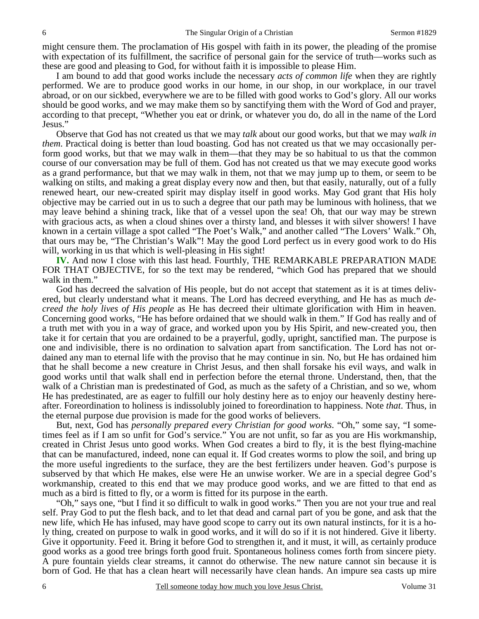might censure them. The proclamation of His gospel with faith in its power, the pleading of the promise with expectation of its fulfillment, the sacrifice of personal gain for the service of truth—works such as these are good and pleasing to God, for without faith it is impossible to please Him.

 I am bound to add that good works include the necessary *acts of common life* when they are rightly performed. We are to produce good works in our home, in our shop, in our workplace, in our travel abroad, or on our sickbed, everywhere we are to be filled with good works to God's glory. All our works should be good works, and we may make them so by sanctifying them with the Word of God and prayer, according to that precept, "Whether you eat or drink, or whatever you do, do all in the name of the Lord Jesus."

 Observe that God has not created us that we may *talk* about our good works, but that we may *walk in them*. Practical doing is better than loud boasting. God has not created us that we may occasionally perform good works, but that we may walk in them—that they may be so habitual to us that the common course of our conversation may be full of them. God has not created us that we may execute good works as a grand performance, but that we may walk in them, not that we may jump up to them, or seem to be walking on stilts, and making a great display every now and then, but that easily, naturally, out of a fully renewed heart, our new-created spirit may display itself in good works. May God grant that His holy objective may be carried out in us to such a degree that our path may be luminous with holiness, that we may leave behind a shining track, like that of a vessel upon the sea! Oh, that our way may be strewn with gracious acts, as when a cloud shines over a thirsty land, and blesses it with silver showers! I have known in a certain village a spot called "The Poet's Walk," and another called "The Lovers' Walk." Oh, that ours may be, "The Christian's Walk"! May the good Lord perfect us in every good work to do His will, working in us that which is well-pleasing in His sight!

**IV.** And now I close with this last head. Fourthly, THE REMARKABLE PREPARATION MADE FOR THAT OBJECTIVE, for so the text may be rendered, "which God has prepared that we should walk in them."

 God has decreed the salvation of His people, but do not accept that statement as it is at times delivered, but clearly understand what it means. The Lord has decreed everything, and He has as much *decreed the holy lives of His people* as He has decreed their ultimate glorification with Him in heaven. Concerning good works, "He has before ordained that we should walk in them." If God has really and of a truth met with you in a way of grace, and worked upon you by His Spirit, and new-created you, then take it for certain that you are ordained to be a prayerful, godly, upright, sanctified man. The purpose is one and indivisible, there is no ordination to salvation apart from sanctification. The Lord has not ordained any man to eternal life with the proviso that he may continue in sin. No, but He has ordained him that he shall become a new creature in Christ Jesus, and then shall forsake his evil ways, and walk in good works until that walk shall end in perfection before the eternal throne. Understand, then, that the walk of a Christian man is predestinated of God, as much as the safety of a Christian, and so we, whom He has predestinated, are as eager to fulfill our holy destiny here as to enjoy our heavenly destiny hereafter. Foreordination to holiness is indissolubly joined to foreordination to happiness. Note *that*. Thus, in the eternal purpose due provision is made for the good works of believers.

 But, next, God has *personally prepared every Christian for good works*. "Oh," some say, "I sometimes feel as if I am so unfit for God's service." You are not unfit, so far as you are His workmanship, created in Christ Jesus unto good works. When God creates a bird to fly, it is the best flying-machine that can be manufactured, indeed, none can equal it. If God creates worms to plow the soil, and bring up the more useful ingredients to the surface, they are the best fertilizers under heaven. God's purpose is subserved by that which He makes, else were He an unwise worker. We are in a special degree God's workmanship, created to this end that we may produce good works, and we are fitted to that end as much as a bird is fitted to fly, or a worm is fitted for its purpose in the earth.

 "Oh," says one, "but I find it so difficult to walk in good works." Then you are not your true and real self. Pray God to put the flesh back, and to let that dead and carnal part of you be gone, and ask that the new life, which He has infused, may have good scope to carry out its own natural instincts, for it is a holy thing, created on purpose to walk in good works, and it will do so if it is not hindered. Give it liberty. Give it opportunity. Feed it. Bring it before God to strengthen it, and it must, it will, as certainly produce good works as a good tree brings forth good fruit. Spontaneous holiness comes forth from sincere piety. A pure fountain yields clear streams, it cannot do otherwise. The new nature cannot sin because it is born of God. He that has a clean heart will necessarily have clean hands. An impure sea casts up mire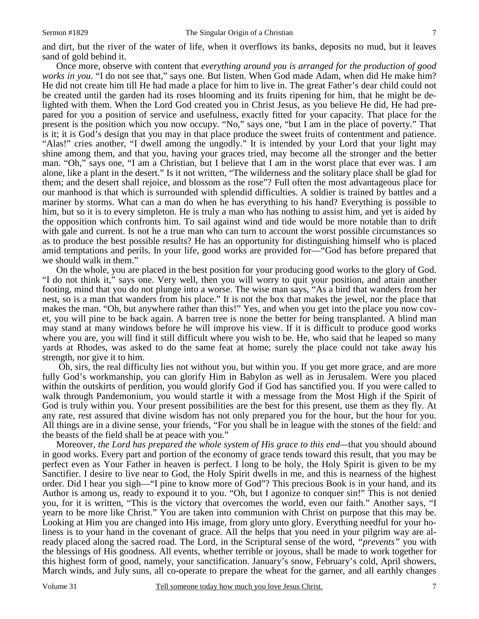and dirt, but the river of the water of life, when it overflows its banks, deposits no mud, but it leaves sand of gold behind it.

 Once more, observe with content that *everything around you is arranged for the production of good works in you*. "I do not see that," says one. But listen. When God made Adam, when did He make him? He did not create him till He had made a place for him to live in. The great Father's dear child could not be created until the garden had its roses blooming and its fruits ripening for him, that he might be delighted with them. When the Lord God created you in Christ Jesus, as you believe He did, He had prepared for you a position of service and usefulness, exactly fitted for your capacity. That place for the present is the position which you now occupy. "No," says one, "but I am in the place of poverty." That is it; it is God's design that you may in that place produce the sweet fruits of contentment and patience. "Alas!" cries another, "I dwell among the ungodly." It is intended by your Lord that your light may shine among them, and that you, having your graces tried, may become all the stronger and the better man. "Oh," says one, "I am a Christian, but I believe that I am in the worst place that ever was. I am alone, like a plant in the desert." Is it not written, "The wilderness and the solitary place shall be glad for them; and the desert shall rejoice, and blossom as the rose"? Full often the most advantageous place for our manhood is that which is surrounded with splendid difficulties. A soldier is trained by battles and a mariner by storms. What can a man do when he has everything to his hand? Everything is possible to him, but so it is to every simpleton. He is truly a man who has nothing to assist him, and yet is aided by the opposition which confronts him. To sail against wind and tide would be more notable than to drift with gale and current. Is not he a true man who can turn to account the worst possible circumstances so as to produce the best possible results? He has an opportunity for distinguishing himself who is placed amid temptations and perils. In your life, good works are provided for—"God has before prepared that we should walk in them."

 On the whole, you are placed in the best position for your producing good works to the glory of God. "I do not think it," says one. Very well, then you will worry to quit your position, and attain another footing, mind that you do not plunge into a worse. The wise man says, "As a bird that wanders from her nest, so is a man that wanders from his place." It is not the box that makes the jewel, nor the place that makes the man. "Oh, but anywhere rather than this!" Yes, and when you get into the place you now covet, you will pine to be back again. A barren tree is none the better for being transplanted. A blind man may stand at many windows before he will improve his view. If it is difficult to produce good works where you are, you will find it still difficult where you wish to be. He, who said that he leaped so many yards at Rhodes, was asked to do the same feat at home; surely the place could not take away his strength, nor give it to him.

 Oh, sirs, the real difficulty lies not without you, but within you. If you get more grace, and are more fully God's workmanship, you can glorify Him in Babylon as well as in Jerusalem. Were you placed within the outskirts of perdition, you would glorify God if God has sanctified you. If you were called to walk through Pandemonium, you would startle it with a message from the Most High if the Spirit of God is truly within you. Your present possibilities are the best for this present, use them as they fly. At any rate, rest assured that divine wisdom has not only prepared you for the hour, but the hour for you. All things are in a divine sense, your friends, "For you shall be in league with the stones of the field: and the beasts of the field shall be at peace with you."

 Moreover, *the Lord has prepared the whole system of His grace to this end—*that you should abound in good works. Every part and portion of the economy of grace tends toward this result, that you may be perfect even as Your Father in heaven is perfect. I long to be holy, the Holy Spirit is given to be my Sanctifier. I desire to live near to God, the Holy Spirit dwells in me, and this is nearness of the highest order. Did I hear you sigh—"I pine to know more of God"? This precious Book is in your hand, and its Author is among us, ready to expound it to you. "Oh, but I agonize to conquer sin!" This is not denied you, for it is written, "This is the victory that overcomes the world, even our faith." Another says, "I yearn to be more like Christ." You are taken into communion with Christ on purpose that this may be. Looking at Him you are changed into His image, from glory unto glory. Everything needful for your holiness is to your hand in the covenant of grace. All the helps that you need in your pilgrim way are already placed along the sacred road. The Lord, in the Scriptural sense of the word, *"prevents"* you with the blessings of His goodness. All events, whether terrible or joyous, shall be made to work together for this highest form of good, namely, your sanctification. January's snow, February's cold, April showers, March winds, and July suns, all co-operate to prepare the wheat for the garner, and all earthly changes